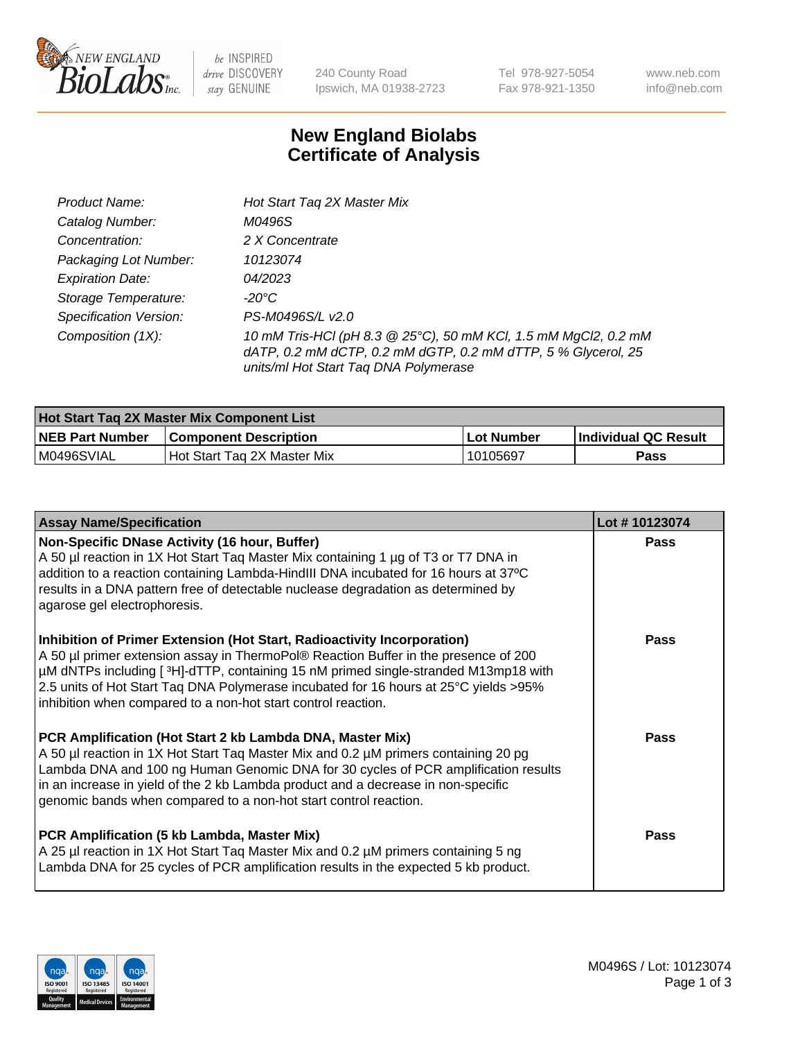

 $be$  INSPIRED drive DISCOVERY stay GENUINE

240 County Road Ipswich, MA 01938-2723 Tel 978-927-5054 Fax 978-921-1350 www.neb.com info@neb.com

## **New England Biolabs Certificate of Analysis**

| Product Name:           | Hot Start Tag 2X Master Mix                                                                                                                                               |
|-------------------------|---------------------------------------------------------------------------------------------------------------------------------------------------------------------------|
| Catalog Number:         | M0496S                                                                                                                                                                    |
| Concentration:          | 2 X Concentrate                                                                                                                                                           |
| Packaging Lot Number:   | 10123074                                                                                                                                                                  |
| <b>Expiration Date:</b> | 04/2023                                                                                                                                                                   |
| Storage Temperature:    | -20°C                                                                                                                                                                     |
| Specification Version:  | PS-M0496S/L v2.0                                                                                                                                                          |
| Composition (1X):       | 10 mM Tris-HCl (pH 8.3 @ 25°C), 50 mM KCl, 1.5 mM MgCl2, 0.2 mM<br>dATP, 0.2 mM dCTP, 0.2 mM dGTP, 0.2 mM dTTP, 5 % Glycerol, 25<br>units/ml Hot Start Taq DNA Polymerase |

| <b>Hot Start Tag 2X Master Mix Component List</b> |                               |            |                      |  |  |
|---------------------------------------------------|-------------------------------|------------|----------------------|--|--|
| <b>NEB Part Number</b>                            | <b>Component Description</b>  | Lot Number | Individual QC Result |  |  |
| M0496SVIAL                                        | l Hot Start Tag 2X Master Mix | 10105697   | Pass                 |  |  |

| <b>Assay Name/Specification</b>                                                                                                                                                                                                                                                                                                                                                                                | Lot #10123074 |
|----------------------------------------------------------------------------------------------------------------------------------------------------------------------------------------------------------------------------------------------------------------------------------------------------------------------------------------------------------------------------------------------------------------|---------------|
| Non-Specific DNase Activity (16 hour, Buffer)<br>A 50 µl reaction in 1X Hot Start Tag Master Mix containing 1 µg of T3 or T7 DNA in<br>addition to a reaction containing Lambda-HindIII DNA incubated for 16 hours at 37°C<br>results in a DNA pattern free of detectable nuclease degradation as determined by<br>agarose gel electrophoresis.                                                                | <b>Pass</b>   |
| Inhibition of Primer Extension (Hot Start, Radioactivity Incorporation)<br>A 50 µl primer extension assay in ThermoPol® Reaction Buffer in the presence of 200<br>µM dNTPs including [3H]-dTTP, containing 15 nM primed single-stranded M13mp18 with<br>2.5 units of Hot Start Taq DNA Polymerase incubated for 16 hours at 25°C yields > 95%<br>inhibition when compared to a non-hot start control reaction. | Pass          |
| PCR Amplification (Hot Start 2 kb Lambda DNA, Master Mix)<br>A 50 µl reaction in 1X Hot Start Tag Master Mix and 0.2 µM primers containing 20 pg<br>Lambda DNA and 100 ng Human Genomic DNA for 30 cycles of PCR amplification results<br>in an increase in yield of the 2 kb Lambda product and a decrease in non-specific<br>genomic bands when compared to a non-hot start control reaction.                | Pass          |
| PCR Amplification (5 kb Lambda, Master Mix)<br>A 25 µl reaction in 1X Hot Start Taq Master Mix and 0.2 µM primers containing 5 ng<br>Lambda DNA for 25 cycles of PCR amplification results in the expected 5 kb product.                                                                                                                                                                                       | <b>Pass</b>   |

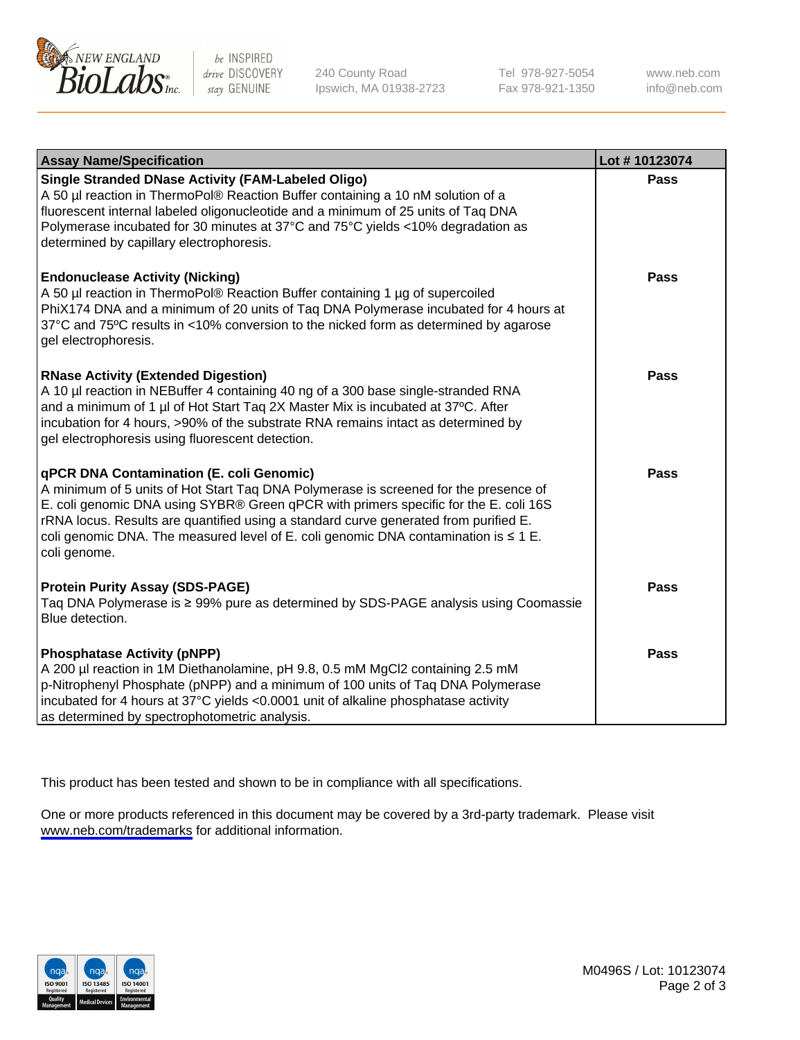

be INSPIRED drive DISCOVERY stay GENUINE

240 County Road Ipswich, MA 01938-2723 Tel 978-927-5054 Fax 978-921-1350

www.neb.com info@neb.com

| <b>Assay Name/Specification</b>                                                                                                                                                                                                                                                                                                                                                                                                     | Lot #10123074 |
|-------------------------------------------------------------------------------------------------------------------------------------------------------------------------------------------------------------------------------------------------------------------------------------------------------------------------------------------------------------------------------------------------------------------------------------|---------------|
| <b>Single Stranded DNase Activity (FAM-Labeled Oligo)</b><br>A 50 µl reaction in ThermoPol® Reaction Buffer containing a 10 nM solution of a<br>fluorescent internal labeled oligonucleotide and a minimum of 25 units of Taq DNA<br>Polymerase incubated for 30 minutes at 37°C and 75°C yields <10% degradation as<br>determined by capillary electrophoresis.                                                                    | Pass          |
| <b>Endonuclease Activity (Nicking)</b><br>A 50 µl reaction in ThermoPol® Reaction Buffer containing 1 µg of supercoiled<br>PhiX174 DNA and a minimum of 20 units of Taq DNA Polymerase incubated for 4 hours at<br>37°C and 75°C results in <10% conversion to the nicked form as determined by agarose<br>gel electrophoresis.                                                                                                     | <b>Pass</b>   |
| <b>RNase Activity (Extended Digestion)</b><br>A 10 µl reaction in NEBuffer 4 containing 40 ng of a 300 base single-stranded RNA<br>and a minimum of 1 µl of Hot Start Tag 2X Master Mix is incubated at 37°C. After<br>incubation for 4 hours, >90% of the substrate RNA remains intact as determined by<br>gel electrophoresis using fluorescent detection.                                                                        | <b>Pass</b>   |
| <b>qPCR DNA Contamination (E. coli Genomic)</b><br>A minimum of 5 units of Hot Start Taq DNA Polymerase is screened for the presence of<br>E. coli genomic DNA using SYBR® Green qPCR with primers specific for the E. coli 16S<br>rRNA locus. Results are quantified using a standard curve generated from purified E.<br>coli genomic DNA. The measured level of E. coli genomic DNA contamination is $\leq 1$ E.<br>coli genome. | Pass          |
| <b>Protein Purity Assay (SDS-PAGE)</b><br>Taq DNA Polymerase is ≥ 99% pure as determined by SDS-PAGE analysis using Coomassie<br>Blue detection.                                                                                                                                                                                                                                                                                    | Pass          |
| <b>Phosphatase Activity (pNPP)</b><br>A 200 µl reaction in 1M Diethanolamine, pH 9.8, 0.5 mM MgCl2 containing 2.5 mM<br>p-Nitrophenyl Phosphate (pNPP) and a minimum of 100 units of Taq DNA Polymerase<br>incubated for 4 hours at 37°C yields <0.0001 unit of alkaline phosphatase activity<br>as determined by spectrophotometric analysis.                                                                                      | Pass          |

This product has been tested and shown to be in compliance with all specifications.

One or more products referenced in this document may be covered by a 3rd-party trademark. Please visit <www.neb.com/trademarks>for additional information.